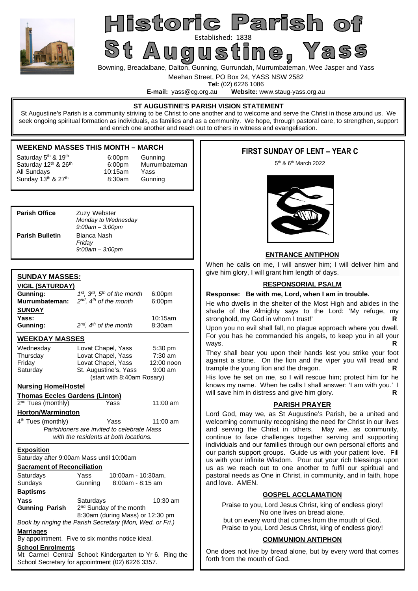

## Historic Parish o St Augustine (1838)

Bowning, Breadalbane, Dalton, Gunning, Gurrundah, Murrumbateman, Wee Jasper and Yass

Meehan Street, PO Box 24, YASS NSW 2582

**Tel:** (02) 6226 1086<br>**E-mail:** vass@cg.org.au **Website:** w Website: www.staug-yass.org.au

#### **ST AUGUSTINE'S PARISH VISION STATEMENT**

St Augustine's Parish is a community striving to be Christ to one another and to welcome and serve the Christ in those around us. We seek ongoing spiritual formation as individuals, as families and as a community. We hope, through pastoral care, to strengthen, support and enrich one another and reach out to others in witness and evangelisation.

#### **WEEKEND MASSES THIS MONTH – MARCH**

Saturday 12<sup>th</sup> & 26<sup>th</sup> 6:00pm Murrumbateman Saturday  $5<sup>th</sup>$  &  $19<sup>th</sup>$  6:00pm Gunning All Sundays 10:15am Yass Sunday  $13<sup>th</sup>$  &  $27<sup>th</sup>$  8:30am Gunning

| <b>Parish Office</b>   | Zuzy Webster<br>Monday to Wednesday<br>$9:00$ am $-3:00$ pm |
|------------------------|-------------------------------------------------------------|
| <b>Parish Bulletin</b> | Bianca Nash<br>Friday<br>$9:00$ am $-3:00$ pm               |

#### **SUNDAY MASSES***:*

| <u>VIGIL (SATURDAY)</u>                                              |                                                          |            |  |  |  |
|----------------------------------------------------------------------|----------------------------------------------------------|------------|--|--|--|
| Gunning:                                                             | 1st, 3rd, 5th of the month<br>6:00pm                     |            |  |  |  |
| Murrumbateman:                                                       | $2^{nd}$ , $4^{th}$ of the month<br>6:00pm               |            |  |  |  |
| <b>SUNDAY</b>                                                        |                                                          |            |  |  |  |
| Yass:                                                                | 10:15am                                                  |            |  |  |  |
| Gunning:                                                             | $2^{nd}$ , $4^{th}$ of the month                         | 8:30am     |  |  |  |
| <b>WEEKDAY MASSES</b>                                                |                                                          |            |  |  |  |
| Wednesday                                                            | Lovat Chapel, Yass                                       | 5:30 pm    |  |  |  |
| Thursday                                                             | Lovat Chapel, Yass                                       | $7:30$ am  |  |  |  |
| Friday                                                               | Lovat Chapel, Yass                                       | 12:00 noon |  |  |  |
| Saturday                                                             | St. Augustine's, Yass                                    | $9:00$ am  |  |  |  |
|                                                                      | (start with 8:40am Rosary)                               |            |  |  |  |
| <b>Nursing Home/Hostel</b>                                           |                                                          |            |  |  |  |
| <b>Thomas Eccles Gardens (Linton)</b>                                |                                                          |            |  |  |  |
| 2 <sup>nd</sup> Tues (monthly)                                       | Yass                                                     | 11:00 am   |  |  |  |
| <b>Horton/Warmington</b>                                             |                                                          |            |  |  |  |
| 4 <sup>th</sup> Tues (monthly)<br>Yass<br>11:00 am                   |                                                          |            |  |  |  |
| Parishioners are invited to celebrate Mass                           |                                                          |            |  |  |  |
|                                                                      | with the residents at both locations.                    |            |  |  |  |
| <b>Exposition</b>                                                    |                                                          |            |  |  |  |
|                                                                      | Saturday after 9:00am Mass until 10:00am                 |            |  |  |  |
| <b>Sacrament of Reconciliation</b>                                   |                                                          |            |  |  |  |
| Saturdays                                                            | Yass<br>10:00am - 10:30am,                               |            |  |  |  |
| Sundays                                                              | Gunning<br>$8:00$ am - $8:15$ am                         |            |  |  |  |
| <b>Baptisms</b>                                                      |                                                          |            |  |  |  |
| Yass                                                                 | Saturdays                                                | $10:30$ am |  |  |  |
| <b>Gunning Parish</b>                                                | 2 <sup>nd</sup> Sunday of the month                      |            |  |  |  |
| 8:30am (during Mass) or 12:30 pm                                     |                                                          |            |  |  |  |
|                                                                      | Book by ringing the Parish Secretary (Mon, Wed. or Fri.) |            |  |  |  |
| <b>Marriages</b><br>By appointment. Five to six months notice ideal. |                                                          |            |  |  |  |
|                                                                      |                                                          |            |  |  |  |
|                                                                      |                                                          |            |  |  |  |
| <b>School Enrolments</b>                                             | Mt Carmel Central School: Kindergarten to Yr 6. Ring the |            |  |  |  |

#### **FIRST SUNDAY OF LENT – YEAR C**

5<sup>th</sup> & 6<sup>th</sup> March 2022



#### **ENTRANCE ANTIPHON**

When he calls on me, I will answer him; I will deliver him and give him glory, I will grant him length of days.

#### **RESPONSORIAL PSALM**

#### **Response: Be with me, Lord, when I am in trouble.**

He who dwells in the shelter of the Most High and abides in the shade of the Almighty says to the Lord: 'My refuge, my stronghold, my God in whom I trust!' **R** 

Upon you no evil shall fall, no plague approach where you dwell. For you has he commanded his angels, to keep you in all your ways. **R R** 

They shall bear you upon their hands lest you strike your foot against a stone. On the lion and the viper you will tread and trample the young lion and the dragon. **R** 

His love he set on me, so I will rescue him; protect him for he knows my name. When he calls I shall answer: 'I am with you.' I will save him in distress and give him glory. **R** 

#### **PARISH PRAYER**

Lord God, may we, as St Augustine's Parish, be a united and welcoming community recognising the need for Christ in our lives and serving the Christ in others. May we, as community, continue to face challenges together serving and supporting individuals and our families through our own personal efforts and our parish support groups. Guide us with your patient love. Fill us with your infinite Wisdom. Pour out your rich blessings upon us as we reach out to one another to fulfil our spiritual and pastoral needs as One in Christ, in community, and in faith, hope and love. AMEN.

#### **GOSPEL ACCLAMATION**

Praise to you, Lord Jesus Christ, king of endless glory! No one lives on bread alone, but on every word that comes from the mouth of God. Praise to you, Lord Jesus Christ, king of endless glory!

#### **COMMUNION ANTIPHON**

One does not live by bread alone, but by every word that comes forth from the mouth of God.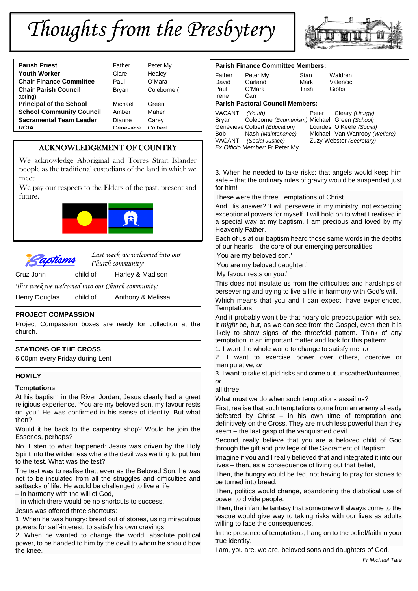# *Thoughts from the Presbytery*



| <b>Parish Priest</b>                   | Father    | Peter My    |
|----------------------------------------|-----------|-------------|
| <b>Youth Worker</b>                    | Clare     | Healey      |
| <b>Chair Finance Committee</b>         | Paul      | O'Mara      |
| <b>Chair Parish Council</b><br>acting) | Bryan     | Coleborne ( |
| <b>Principal of the School</b>         | Michael   | Green       |
| <b>School Community Council</b>        | Amber     | Maher       |
| <b>Sacramental Team Leader</b>         | Dianne    | Carey       |
| <b>DCIA</b>                            | Conovious | $C$ olbort  |
|                                        |           |             |

#### ACKNOWLEDGEMENT OF COUNTRY

We acknowledge Aboriginal and Torres Strait Islander people as the traditional custodians of the land in which we meet.

We pay our respects to the Elders of the past, present and future.





*Last week we welcomed into our Church community:*

Cruz John child of Harley & Madison

*This week we welcomed into our Church community:* 

Henry Douglas child of Anthony & Melissa

#### **PROJECT COMPASSION**

Project Compassion boxes are ready for collection at the church.

#### **STATIONS OF THE CROSS**

6:00pm every Friday during Lent

#### **HOMILY**

#### **Temptations**

At his baptism in the River Jordan, Jesus clearly had a great religious experience. 'You are my beloved son, my favour rests on you.' He was confirmed in his sense of identity. But what then?

Would it be back to the carpentry shop? Would he join the Essenes, perhaps?

No. Listen to what happened: Jesus was driven by the Holy Spirit into the wilderness where the devil was waiting to put him to the test. What was the test?

The test was to realise that, even as the Beloved Son, he was not to be insulated from all the struggles and difficulties and setbacks of life. He would be challenged to live a life

– in harmony with the will of God,

– in which there would be no shortcuts to success.

Jesus was offered three shortcuts:

1. When he was hungry: bread out of stones, using miraculous powers for self-interest, to satisfy his own cravings.

2. When he wanted to change the world: absolute political power, to be handed to him by the devil to whom he should bow the knee.

| <b>Parish Finance Committee Members:</b> |                                                                                                                                                                      |                       |                                                                                                           |  |  |  |
|------------------------------------------|----------------------------------------------------------------------------------------------------------------------------------------------------------------------|-----------------------|-----------------------------------------------------------------------------------------------------------|--|--|--|
| Father<br>David<br>Paul<br>Irene         | Peter My<br>Garland<br>O'Mara<br>Carr                                                                                                                                | Stan<br>Mark<br>Trish | Waldren<br>Valencic<br>Gibbs                                                                              |  |  |  |
| <b>Parish Pastoral Council Members:</b>  |                                                                                                                                                                      |                       |                                                                                                           |  |  |  |
| VACANT<br>Brvan<br>Bob<br>VACANT         | (Youth)<br>Coleborne (Ecumenism) Michael Green (School)<br>Genevieve Colbert (Education)<br>Nash (Maintenance)<br>(Social Justice)<br>Ex Officio Member: Fr Peter My | Peter                 | Cleary (Liturgy)<br>Lourdes O'Keefe (Social)<br>Michael Van Wanrooy (Welfare)<br>Zuzy Webster (Secretary) |  |  |  |

3. When he needed to take risks: that angels would keep him safe – that the ordinary rules of gravity would be suspended just for him!

These were the three Temptations of Christ.

And His answer? 'I will persevere in my ministry, not expecting exceptional powers for myself. I will hold on to what I realised in a special way at my baptism. I am precious and loved by my Heavenly Father.

Each of us at our baptism heard those same words in the depths of our hearts – the core of our emerging personalities.

'You are my beloved son.'

'You are my beloved daughter.'

'My favour rests on you.'

This does not insulate us from the difficulties and hardships of persevering and trying to live a life in harmony with God's will.

Which means that you and I can expect, have experienced, Temptations.

And it probably won't be that hoary old preoccupation with sex. It *might* be, but, as we can see from the Gospel, even then it is likely to show signs of the threefold pattern. Think of any temptation in an important matter and look for this pattern:

1. I want the whole world to change to satisfy me, *or*

2. I want to exercise power over others, coercive or manipulative, *or*

3. I want to take stupid risks and come out unscathed/unharmed, *or*

all three!

What must we do when such temptations assail us?

First, realise that such temptations come from an enemy already defeated by Christ – in his own time of temptation and definitively on the Cross. They are much less powerful than they seem – the last gasp of the vanquished devil.

Second, really believe that you are a beloved child of God through the gift and privilege of the Sacrament of Baptism.

Imagine if you and I really believed that and integrated it into our lives – then, as a consequence of living out that belief,

Then, the hungry would be fed, not having to pray for stones to be turned into bread.

Then, politics would change, abandoning the diabolical use of power to divide people.

Then, the infantile fantasy that someone will always come to the rescue would give way to taking risks with our lives as adults willing to face the consequences.

In the presence of temptations, hang on to the belief/faith in your true identity.

I am, you are, we are, beloved sons and daughters of God.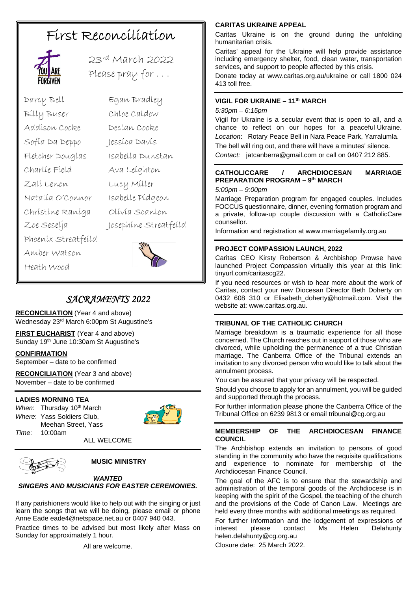### First Reconciliation



23rd March 2022 Please pray for . . .

- Darcy Bell Egan Bradley Billy Buser Chloe Caldow Addison Cooke Declan Cooke Sofia Da Deppo Jessica Davis Fletcher Douglas Isabella Dunstan Charlie Field Ava Leighton Zali Lenon Lucy Miller Natalia O'Connor Isabelle Pidgeon Christine Raniga Olivia Scanlon Zoe Seselja Josephine Streatfeild Phoenix Streatfeild Amber Watson
	-

### *SACRAMENTS 2022*

**RECONCILIATION** (Year 4 and above) Wednesday 23rd March 6:00pm St Augustine's

**FIRST EUCHARIST** (Year 4 and above) Sunday 19<sup>th</sup> June 10:30am St Augustine's

#### **CONFIRMATION**

Heath Wood

September – date to be confirmed

**RECONCILIATION** (Year 3 and above) November – date to be confirmed

#### **LADIES MORNING TEA**

*When*: Thursday 10<sup>th</sup> March *Where*: Yass Soldiers Club, Meehan Street, Yass *Time*: 10:00am



ALL WELCOME



#### **MUSIC MINISTRY**

#### *WANTED SINGERS AND MUSICIANS FOR EASTER CEREMONIES.*

If any parishioners would like to help out with the singing or just learn the songs that we will be doing, please email or phone Anne Eade eade4@netspace.net.au or 0407 940 043.

Practice times to be advised but most likely after Mass on Sunday for approximately 1 hour.

All are welcome.

#### **CARITAS UKRAINE APPEAL**

Caritas Ukraine is on the ground during the unfolding humanitarian crisis.

Caritas' appeal for the Ukraine will help provide assistance including emergency shelter, food, clean water, transportation services, and support to people affected by this crisis.

Donate today at www.caritas.org.au/ukraine or call 1800 024 413 toll free.

#### **VIGIL FOR UKRAINE – 11th MARCH**

*5:30pm – 6:15pm*

Vigil for Ukraine is a secular event that is open to all, and a chance to reflect on our hopes for a peaceful Ukraine. *Location*: Rotary Peace Bell in Nara Peace Park, Yarralumla. The bell will ring out, and there will have a minutes' silence.

*Contact:* jatcanberra@gmail.com or call on 0407 212 885.

#### **CATHOLICCARE / ARCHDIOCESAN MARRIAGE PREPARATION PROGRAM – 9th MARCH**

*5:00pm – 9:00pm* 

Marriage Preparation program for engaged couples. Includes FOCCUS questionnaire, dinner, evening formation program and a private, follow-up couple discussion with a CatholicCare counsellor.

Information and registration at www.marriagefamily.org.au

#### **PROJECT COMPASSION LAUNCH, 2022**

Caritas CEO Kirsty Robertson & Archbishop Prowse have launched Project Compassion virtually this year at this link: tinyurl.com/caritascg22.

If you need resources or wish to hear more about the work of Caritas, contact your new Diocesan Director Beth Doherty on 0432 608 310 or Elisabeth\_doherty@hotmail.com. Visit the website at: www.caritas.org.au.

#### **TRIBUNAL OF THE CATHOLIC CHURCH**

Marriage breakdown is a traumatic experience for all those concerned. The Church reaches out in support of those who are divorced, while upholding the permanence of a true Christian marriage. The Canberra Office of the Tribunal extends an invitation to any divorced person who would like to talk about the annulment process.

You can be assured that your privacy will be respected.

Should you choose to apply for an annulment, you will be guided and supported through the process.

For further information please phone the Canberra Office of the Tribunal Office on 6239 9813 or email tribunal@cg.org.au

#### **MEMBERSHIP OF THE ARCHDIOCESAN FINANCE COUNCIL**

The Archbishop extends an invitation to persons of good standing in the community who have the requisite qualifications and experience to nominate for membership of the Archdiocesan Finance Council.

The goal of the AFC is to ensure that the stewardship and administration of the temporal goods of the Archdiocese is in keeping with the spirit of the Gospel, the teaching of the church and the provisions of the Code of Canon Law. Meetings are held every three months with additional meetings as required.

For further information and the lodgement of expressions of<br>interest oplease contact Ms Helen Delabunty interest please contact Ms Helen Delahunty helen.delahunty@cg.org.au

Closure date: 25 March 2022.